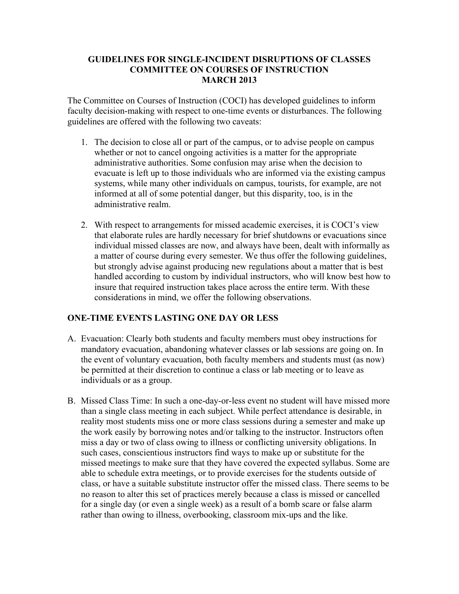## **GUIDELINES FOR SINGLE-INCIDENT DISRUPTIONS OF CLASSES COMMITTEE ON COURSES OF INSTRUCTION MARCH 2013**

The Committee on Courses of Instruction (COCI) has developed guidelines to inform faculty decision-making with respect to one-time events or disturbances. The following guidelines are offered with the following two caveats:

- 1. The decision to close all or part of the campus, or to advise people on campus whether or not to cancel ongoing activities is a matter for the appropriate administrative authorities. Some confusion may arise when the decision to evacuate is left up to those individuals who are informed via the existing campus systems, while many other individuals on campus, tourists, for example, are not informed at all of some potential danger, but this disparity, too, is in the administrative realm.
- 2. With respect to arrangements for missed academic exercises, it is COCI's view that elaborate rules are hardly necessary for brief shutdowns or evacuations since individual missed classes are now, and always have been, dealt with informally as a matter of course during every semester. We thus offer the following guidelines, but strongly advise against producing new regulations about a matter that is best handled according to custom by individual instructors, who will know best how to insure that required instruction takes place across the entire term. With these considerations in mind, we offer the following observations.

## **ONE-TIME EVENTS LASTING ONE DAY OR LESS**

- A. Evacuation: Clearly both students and faculty members must obey instructions for mandatory evacuation, abandoning whatever classes or lab sessions are going on. In the event of voluntary evacuation, both faculty members and students must (as now) be permitted at their discretion to continue a class or lab meeting or to leave as individuals or as a group.
- B. Missed Class Time: In such a one-day-or-less event no student will have missed more than a single class meeting in each subject. While perfect attendance is desirable, in reality most students miss one or more class sessions during a semester and make up the work easily by borrowing notes and/or talking to the instructor. Instructors often miss a day or two of class owing to illness or conflicting university obligations. In such cases, conscientious instructors find ways to make up or substitute for the missed meetings to make sure that they have covered the expected syllabus. Some are able to schedule extra meetings, or to provide exercises for the students outside of class, or have a suitable substitute instructor offer the missed class. There seems to be no reason to alter this set of practices merely because a class is missed or cancelled for a single day (or even a single week) as a result of a bomb scare or false alarm rather than owing to illness, overbooking, classroom mix-ups and the like.